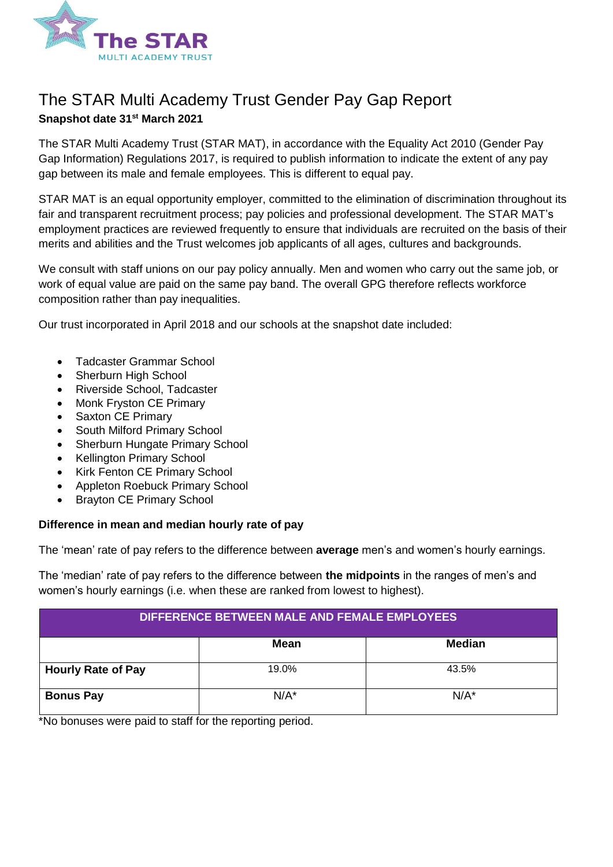

# The STAR Multi Academy Trust Gender Pay Gap Report **Snapshot date 31st March 2021**

The STAR Multi Academy Trust (STAR MAT), in accordance with the Equality Act 2010 (Gender Pay Gap Information) Regulations 2017, is required to publish information to indicate the extent of any pay gap between its male and female employees. This is different to equal pay.

STAR MAT is an equal opportunity employer, committed to the elimination of discrimination throughout its fair and transparent recruitment process; pay policies and professional development. The STAR MAT's employment practices are reviewed frequently to ensure that individuals are recruited on the basis of their merits and abilities and the Trust welcomes job applicants of all ages, cultures and backgrounds.

We consult with staff unions on our pay policy annually. Men and women who carry out the same job, or work of equal value are paid on the same pay band. The overall GPG therefore reflects workforce composition rather than pay inequalities.

Our trust incorporated in April 2018 and our schools at the snapshot date included:

- Tadcaster Grammar School
- **Sherburn High School**
- Riverside School, Tadcaster
- Monk Fryston CE Primary
- Saxton CE Primary
- South Milford Primary School
- Sherburn Hungate Primary School
- Kellington Primary School
- Kirk Fenton CE Primary School
- Appleton Roebuck Primary School
- Brayton CE Primary School

#### **Difference in mean and median hourly rate of pay**

The 'mean' rate of pay refers to the difference between **average** men's and women's hourly earnings.

The 'median' rate of pay refers to the difference between **the midpoints** in the ranges of men's and women's hourly earnings (i.e. when these are ranked from lowest to highest).

| DIFFERENCE BETWEEN MALE AND FEMALE EMPLOYEES |         |               |
|----------------------------------------------|---------|---------------|
|                                              | Mean    | <b>Median</b> |
| <b>Hourly Rate of Pay</b>                    | 19.0%   | 43.5%         |
| <b>Bonus Pay</b>                             | $N/A^*$ | $N/A^*$       |

\*No bonuses were paid to staff for the reporting period.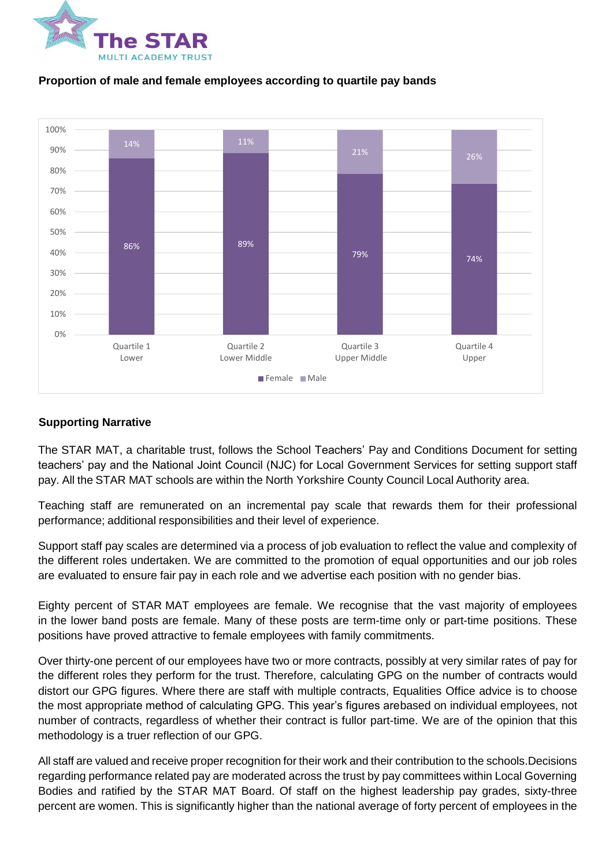



### **Proportion of male and female employees according to quartile pay bands**

## **Supporting Narrative**

The STAR MAT, a charitable trust, follows the School Teachers' Pay and Conditions Document for setting teachers' pay and the National Joint Council (NJC) for Local Government Services for setting support staff pay. All the STAR MAT schools are within the North Yorkshire County Council Local Authority area.

Teaching staff are remunerated on an incremental pay scale that rewards them for their professional performance; additional responsibilities and their level of experience.

Support staff pay scales are determined via a process of job evaluation to reflect the value and complexity of the different roles undertaken. We are committed to the promotion of equal opportunities and our job roles are evaluated to ensure fair pay in each role and we advertise each position with no gender bias.

Eighty percent of STAR MAT employees are female. We recognise that the vast majority of employees in the lower band posts are female. Many of these posts are term-time only or part-time positions. These positions have proved attractive to female employees with family commitments.

Over thirty-one percent of our employees have two or more contracts, possibly at very similar rates of pay for the different roles they perform for the trust. Therefore, calculating GPG on the number of contracts would distort our GPG figures. Where there are staff with multiple contracts, Equalities Office advice is to choose the most appropriate method of calculating GPG. This year's figures arebased on individual employees, not number of contracts, regardless of whether their contract is fullor part-time. We are of the opinion that this methodology is a truer reflection of our GPG.

All staff are valued and receive proper recognition for their work and their contribution to the schools.Decisions regarding performance related pay are moderated across the trust by pay committees within Local Governing Bodies and ratified by the STAR MAT Board. Of staff on the highest leadership pay grades, sixty-three percent are women. This is significantly higher than the national average of forty percent of employees in the